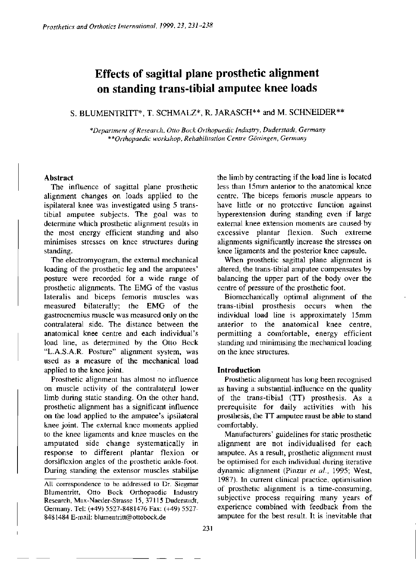# **Effects of sagittal plane prosthetic alignment on standing trans-tibial amputee knee loads**

## S. BLUMENTRITT\*, T. SCHMALZ\*, R. JARASCH\*\* and M. SCHNEIDER\*\*

*\*Department of Research, Otto Bock Orthopaedic Industry, Duderstadt, Germany \*\*Orthopaedic workshop, Rehabilitation Centre Göttingen, Germany* 

#### **Abstract**

The influence of sagittal plane prosthetic alignment changes on loads applied to the ispilateral knee was investigated using 5 transtibial amputee subjects. The goal was to determine which prosthetic alignment results in the most energy efficient standing and also minimises stresses on knee structures during standing.

The electromyogram, the external mechanical loading of the prosthetic leg and the amputees' posture were recorded for a wide range of prosthetic alignments. The EMG of the vastus lateralis and biceps femoris muscles was measured bilatcrally; the EMG of the gastrocnemius muscle was measured only on the contralateral side. The distance between the anatomical knee centre and each individual's load line, as determined by the Otto Bock "L.A.S.A.R. Posture" alignment system, was used as a measure of the mechanical load applied to the knee joint.

Prosthetic alignment has almost no influence on muscle activity of the contralateral lower limb during static standing. On the other hand, prosthetic alignment has a significant influence on the load applied to the amputee's ipsilateral knee joint. The extemal knee moments applied to the knee ligaments and knee muscles on the amputated side change systematically in response to different plantar flexion or dorsiflexion angles of the prosthetic ankle-foot. Daring standing the extensor muscles stabilise the limb by contracting if the load line is located less than 15mm anterior to the anatomical knee centre. The biceps femoris muscle appears to have little or no protective function against hyperextension during standing even if large external knee extension moments are caused by excessive plantar flexion. Such extreme alignments significantly increase the stresses on knee ligaments and the posterior knee capsule.

When prosthetic sagittal plane alignment is altered, the trans-tibial amputee compensates by balancing the upper part of the body over the centre of pressure of the prosthetic foot.

Biomechanically optimal alignment of the trans-tibial prosthesis occurs when the individual load line is approximately 15mm anterior to the anatomical knee centre, permitting a comfortable, energy efficient standing and minimising the mechanical loading on the knee structures.

## **Introduction**

Prosthetic alignment has long been recognised as having a substantial influence on the quality of the trans-tibial (TT) prosthesis. As a prerequisite for daily activities with his prosthesis, the TT amputee must be able to stand comfortably.

Manufacturers' guidelines for static prosthetic alignment are not individualised for each amputee. As a result, prosthetic alignment must be optimised for each individual during iterative dynamic alignment (Pinzur *et al.,* 1995; West, 1987). In current clinical practice, optimisation of prosthetic alignment is a time-consuming, subjective process requiring many years of experience combined with feedback from the amputee for the best result. It is inevitable that

**All correspondence to be addressed to Dr. Siegmar Blumentritt, Otto Bock Orthopaedic Industry Research, Max-Naeder-Strasse 15, 37115 Duderstadt, Germany. Tel: (+49) 5527-8481476 Fax: (+49) 5527- 8481484 E-mail: [blumentritt@ottobock.de](mailto:blumentritt@ottobock.de)**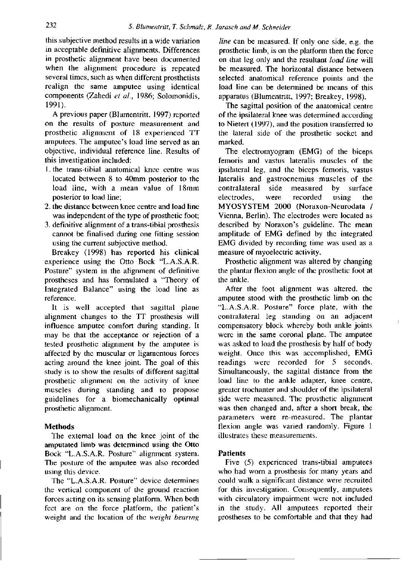this subjective method results in a wide variation in acceptable definitive alignments. Differences in prosthetic alignment have been documented when the alignment procedure is repeated several times, such as when different prosthetists realign the same amputee using identical components (Zahedi *et al.,* 1986; Solomonidis, 1991).

A previous paper (Blumentritt, 1997) reported on the results of posture measurement and prosthetic alignment of 18 experienced TT amputees. The amputee's load line served as an objective, individual reference line. Results of this investigation included:

- 1. the trans-tibial anatomical knee centre was located between 8 to 40mm posterior to the load line, with a mean value of 18mm posterior to load line;
- 2. the distance between knee centre and load line was independent of the type of prosthetic foot;
- 3. definitive alignment of a trans-tibial prosthesis cannot be finalised during one fitting session using the current subjective method.

**Breakey** (1998) has reported his clinical experience using the Otto Bock "L.A.S.A.R. Posture" system in the alignment of definitive prostheses and has formulated a "Theory of Integrated Balance" using the load line as reference.

It is well accepted that sagittal plane alignment changes to the TT prosthesis will influence amputee comfort during standing. It may be that the acceptance or rejection of a tested prosthetic alignment by the amputee is affected by the muscular or ligamentous forces acting around the knee joint. The goal of this study is to show the results of different sagittal prosthetic alignment on the activity of knee muscles during standing and to propose guidelines for a biomechanically optimal prosthetic alignment.

## **Methods**

The external load on the knee joint of the amputated limb was determined using **the** Otto Bock "L.A.S.A.R. Posture" alignment system. The posture of the amputee was also recorded using this device.

The "L.A.S.A.R. Posture" device determines the vertical component of the ground reaction forces acting on its sensing platform. When both feet are on the force platform, the patient's weight and the location of the *weight bearing* 

*line* can be measured. If only one side, e.g. the prosthetic limb, is on the platform then the force on that leg only and the resultant *load line* will be measured. The horizontal distance between selected anatomical reference points and the load line can **be** determined be means of this apparatus (Blumentritt, 1997; Breakey, 1998).

The sagittal position of the anatomical centre of the ipsilateral knee was determined according to Nietert (1997), and the position transferred to the lateral side of the prosthetic socket and marked.

The electromyogram (EMG) of the biceps femoris and vastus lateralis muscles of the ipsilateral leg, and the biceps femoris, vastus lateralis and gastrocnemius muscles of the contralateral side measured by surface electrodes, were recorded using the MYOSYSTEM 2000 (Noraxon-Neurodata / Vienna, Berlin). The electrodes were located as described by Noraxon's guideline. The mean amplitude of EMG defined by the integrated EMG divided by recording time was used as a measure of myoelectric activity.

Prosthetic alignment was altered by changing the plantar flexion angle of the prosthetic foot at the ankle.

After the foot alignment was altered, the amputee stood with the prosthetic limb on the "L.A.S.A.R. Posture" force plate, with the contralateral leg standing on an adjacent compensatory block whereby both ankle joints were in the same coronal plane. The amputee was asked to load the prosthesis by half of body weight. Once this was accomplished, EMG readings were recorded for 5 seconds. Simultaneously, the sagittal distance from the load line to the ankle adapter, knee centre, greater trochanter and shoulder of the ipsilateral side were measured. The prosthetic alignment was then changed and, after a short break, the parameters were re-measured. The plantar flexion angle was varied randomly. Figure 1 illustrates these measurements.

#### **Patients**

Five (5) experienced trans-tibial amputees who had worn a prosthesis for many years and could walk a significant distance were recruited for this investigation. Consequently, amputees with circulatory impairment were not included in the study. All amputees reported their prostheses to be comfortable and that they had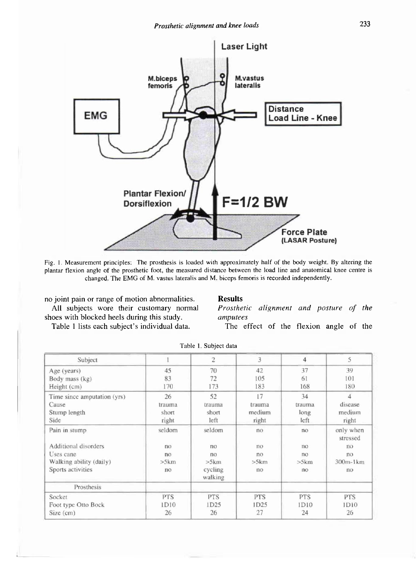

**Fig. 1. Measurement principles: The prosthesis is loaded with approximately half of the body weight. By altering the plantar flexion angle of the prosthetic foot, the measured distance between the 1oad line and anatomical knee centre is changed. The EMG of M. vastus lateralis and M. biceps femoris is recorded independently.** 

no joint pain or **range** of rnotion abnormalities. All subjects wore their customary normal shoes with blocked heels during this study.

Table 1 lists each subject's individual data.

#### **Results**

*Prosthetic alignment and posture of the amputees* 

The effect of the flexion angle of the

| Subject                     |                | $\overline{c}$     | 3              | $\overline{4}$ | 5                     |
|-----------------------------|----------------|--------------------|----------------|----------------|-----------------------|
| Age (years)                 | 45             | 70                 | 42             | 37             | 39                    |
| Body mass (kg)              | 83             | 72                 | 105            | 61             | 101                   |
| Height (cm)                 | 170            | 173                | 183            | 168            | 180                   |
| Time since amputation (yrs) | 26             | 52                 | 17             | 34             | $\overline{4}$        |
| Cause                       | trauma         | trauma             | trauma         | trauma         | disease               |
| Stump length                | short          | short              | medium         | long           | medium                |
| Side                        | right          | left               | right          | left           | right                 |
| Pain in stump               | seldom         | seldom             | no             | no             | only when<br>stressed |
| Additional disorders        | n <sub>0</sub> | no                 | n <sub>O</sub> | no             | no                    |
| Uses cane                   | no             | n <sub>o</sub>     | no             | no             | no                    |
| Walking ability (daily)     | >5 km          | > 5 km             | > 5 km         | > 5 km         | 300m-1km              |
| Sports activities           | n <sub>O</sub> | cycling<br>walking | no             | no             | no                    |
| Prosthesis                  |                |                    |                |                |                       |
| Socket                      | <b>PTS</b>     | <b>PTS</b>         | PTS            | <b>PTS</b>     | <b>PTS</b>            |
| Foot type Otto Bock         | 1D10           | 1D25               | 1D25           | 1D10           | 1D10                  |
| Size (cm)                   | 26             | 26                 | 27             | 24             | 26                    |

|  |  | Table 1. Subject data |  |
|--|--|-----------------------|--|
|--|--|-----------------------|--|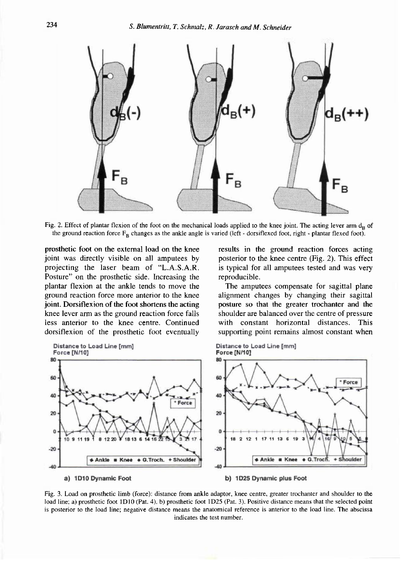

Fig. 2. Effect of plantar flexion of the foot on the mechanical loads applied to the knee joint. The acting lever arm  $d_{\bf p}$  of the ground reaction force F<sub>B</sub> changes as the ankle angle is varied (left - dorsiflexed foot, right - plantar flexed foot).

prosthetic foot on the external load on the knee joint was directly visible on all amputees by projecting the laser beam of "L.A.S.A.R. Posture" on the prosthetic side. Increasing the plantar flexion at the ankle tends to move the ground reaction force more anterior to the knee joint. Dorsiflexion of the foot shortens the acting knee lever arm as the ground reaction force falls less anterior to the knee centre. Continued dorsiflexion of the prosthetic foot eventually results in the ground reaction forces acting posterior to the knee centre (Fig. 2). This effect is typical for all amputees tested and was very reproducible.

The amputees compensate for sagittal plane alignment changes by changing their sagittal posture so that the greater trochanter and the shoulder are balanced over the centre of pressure with constant horizontal distances. This supporting point remains almost constant when



**Fig. 3. Load on prosthetic limb (force): distance from ankle adaptor, knee centre, greater trochanter and shoulder to the load line; a) prosthetic foot 1D10 (Pat. 4), b) prosthetic foot 1D25 (Pat. 3). Positive distance means that the selected point is posterior to the load line; negative distance means the anatomical reference is anterior to the load line. The abscissa indicates the test number.**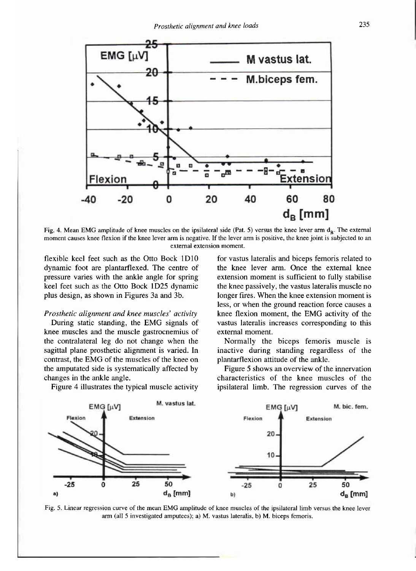

Fig. 4. Mean EMG amplitude of knee muscles on the ipsilateral side (Pat. 5) versus the knee lever arm d<sub>B</sub>. The external **moment causes knee flexion if the knee lever arm is negative. If the lever arm is positive, the knee joint is subjected to an external extension moment.** 

flexible keel feet such as the Otto Bock 1D10 dynamic foot are plantarflexed. The centre of pressure varies with the ankle angle for spring keel feet such as the Otto Bock 1D25 dynamic plus design, as shown in Figures 3a and 3b.

#### *Prosthetic alignment and knee muscles' activity*

During static standing, the EMG signals of knee muscles and the muscle gastrocnemius of the contralateral leg do not change when the sagittal plane prosthetic alignment is varied. In contrast, the EMG of the muscles of the knee on the amputated side is systematically affected by changes in the ankle angle.

Figure 4 illustrates the typical muscle activity

for vastus lateralis and biceps femoris related to the knee lever arm. Once the external knee extension moment is sufficient to fully stabilise the knee passively, the vastus lateralis muscle no longer fires. When the knee extension moment is less, or when the ground reaction force causes a knee flexion moment, the EMG activity of the vastus lateralis increases corresponding to this external moment.

Normally the biceps femoris muscle is inactive during standing regardless of the plantarflexion attitude of the ankle.

Figure 5 shows an overview of the innervation characteristics of the knee muscles of the ipsilateral limb. The regression curves of the



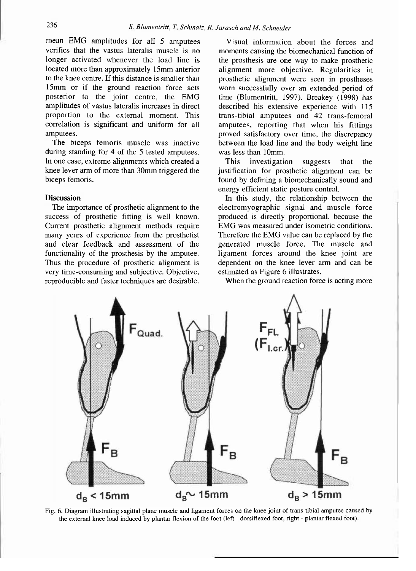mean EMG amplitudes for all 5 amputees verifies that the vastus lateralis muscle is no longer activated whenever the load line is located more than approximately 15mm anterior to the knee centre. If this distance is smaller than 15mm or if the ground reaction force acts posterior to the joint centre, the EMG amplitudes of vastus lateralis increases in direct proportion to the external moment. This correlation is significant and uniform for all amputees.

The biceps femoris muscle was inactive during standing for 4 of the 5 tested amputees. In one case, extreme alignments which created a knee lever arm of more than 30mm triggered the biceps femoris.

#### **Discussion**

The importance of prosthetic alignment to the success of prosthetic fitting is well known. Current prosthetic alignment methods require many years of experience from the prosthetist and clear feedback and assessment of the functionality of the prosthesis by the amputee. Thus the procedure of prosthetic alignment is very time-consuming and subjective. Objective, reproducible and faster techniques are desirable.

Visual information about the forces and moments causing the biomechanical function of the prosthesis are one way to make prosthetic alignment more objective. Regularities in prosthetic alignment were seen in prostheses worn successfully over an extended period of time (Blumentritt, 1997). Breakey (1998) has described his extensive experience with 115 trans-tibial amputees and 42 trans-femoral amputees, reporting that when his fittings proved satisfactory over time, the discrepancy between the load line and the body weight line was less than 10mm.

This investigation suggests that the justification for prosthetic alignment can be found by defining a biomechanically sound and energy efficient static posture control.

In this study, the relationship between the electromyographic signal and muscle force produced is directly proportional, because the EMG was measured under isometric conditions. Therefore the EMG value can be replaced by the generated muscle force. The muscle and ligament forces around the knee joint are dependent on the knee lever arm and can be estimated as Figure 6 illustrates.

When the ground reaction force is acting more



**Fig. 6. Diagram illustrating sagittal plane muscle and ligament forces on the knee joint of trans-tibial amputee caused by the external knee load induced by plantar flexion of the foot (left - dorsiflexed foot, right - plantar flexed foot).**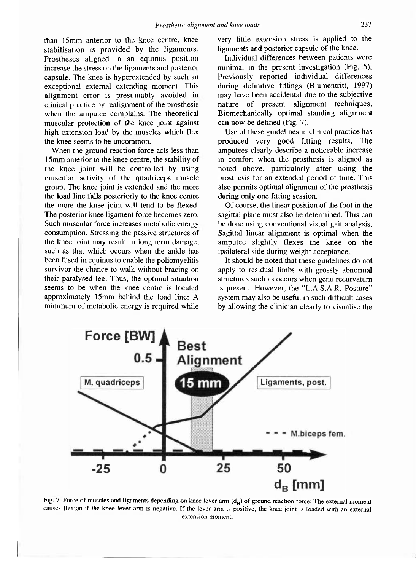than 15mm anterior to the knee centre, knee stabilisation is provided by the ligaments. Prostheses aligned in an equinus position increase the stress on the ligaments and posterior capsule. The knee is hyperextended by such an exceptional external extending moment. This alignment error is presumably avoided in clinical practice by realignment of the prosthesis when the amputee complains. The theoretical muscular protection of the knee joint against high extension load by the muscles which flex the knee seems to be uncommon.

When the ground reaction force acts less than 15mm anterior to the knee centre, the stability of the knee joint will be controlled by using muscular activity of the quadriceps muscle group. The knee joint is extended and the more the load line falls posteriorly to the knee centre the more the knee joint will tend to be flexed. The posterior knee ligament force becomes zero. Such muscular force increases metabolic energy consumption. Stressing the passive structures of the knee joint may result in long term damage, such as that which occurs when the ankle has been fused in equinus to enable the poliomyelitis survivor the chance to walk without bracing on their paralysed leg. Thus, the optimal situation seems to be when the knee centre is located approximately 15mm behind the load line: A minimum of metabolic energy is required while

very little extension stress is applied to the ligaments and posterior capsule of the knee.

Individual differences between patients were minimal in the present investigation (Fig. 5). Previously reported individual differences during definitive fittings (Blumentritt, 1997) may have been accidental due to the subjective nature of present alignment techniques. Biomechanically optimal standing alignment can now be defined (Fig. 7).

Use of these guidelines in clinical practice has produced very good fitting results. The amputees clearly describe a noticeable increase in comfort when the prosthesis is aligned as noted above, particularly after using the prosthesis for an extended period of time. This also permits optimal alignment of the prosthesis during only one fitting session.

Of course, the linear position of the foot in the sagittal plane must also be determined. This can be done using conventional visual gait analysis. Sagittal linear alignment is optimal when the amputee slightly flexes the knee on the ipsilateral side during weight acceptance.

It should be noted that these guidelines do not apply to residual limbs with grossly abnormal structures such as occurs when genu recurvatum is present. However, the "L.A.S.A.R. Posture" system may also be useful in such difficult cases by allowing the clinician clearly to visualise the



Fig. 7. Force of muscles and ligaments depending on knee lever arm (d<sub>B</sub>) of ground reaction force: The external moment causes flexion if the knee lever arm is negative. If the lever arm is positive, the knee joint is loaded with an external **extension moment.**